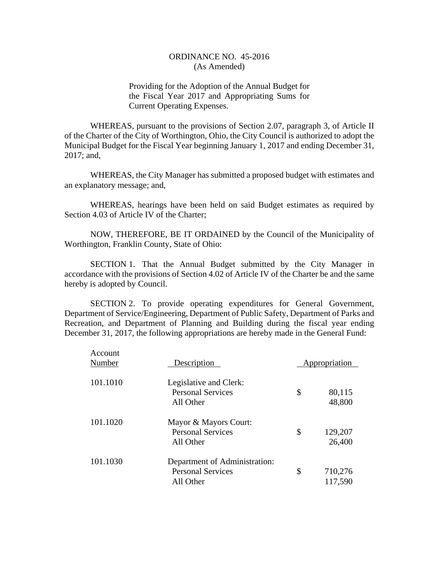Providing for the Adoption of the Annual Budget for the Fiscal Year 2017 and Appropriating Sums for Current Operating Expenses.

WHEREAS, pursuant to the provisions of Section 2.07, paragraph 3, of Article II of the Charter of the City of Worthington, Ohio, the City Council is authorized to adopt the Municipal Budget for the Fiscal Year beginning January 1, 2017 and ending December 31, 2017; and,

WHEREAS, the City Manager has submitted a proposed budget with estimates and an explanatory message; and,

WHEREAS, hearings have been held on said Budget estimates as required by Section 4.03 of Article IV of the Charter;

NOW, THEREFORE, BE IT ORDAINED by the Council of the Municipality of Worthington, Franklin County, State of Ohio:

SECTION 1. That the Annual Budget submitted by the City Manager in accordance with the provisions of Section 4.02 of Article IV of the Charter be and the same hereby is adopted by Council.

SECTION 2. To provide operating expenditures for General Government, Department of Service/Engineering, Department of Public Safety, Department of Parks and Recreation, and Department of Planning and Building during the fiscal year ending December 31, 2017, the following appropriations are hereby made in the General Fund:

| Account<br>Number | Description                                                            | Appropriation            |
|-------------------|------------------------------------------------------------------------|--------------------------|
| 101.1010          | Legislative and Clerk:<br><b>Personal Services</b><br>All Other        | \$<br>80,115<br>48,800   |
| 101.1020          | Mayor & Mayors Court:<br><b>Personal Services</b><br>All Other         | \$<br>129,207<br>26,400  |
| 101.1030          | Department of Administration:<br><b>Personal Services</b><br>All Other | \$<br>710,276<br>117,590 |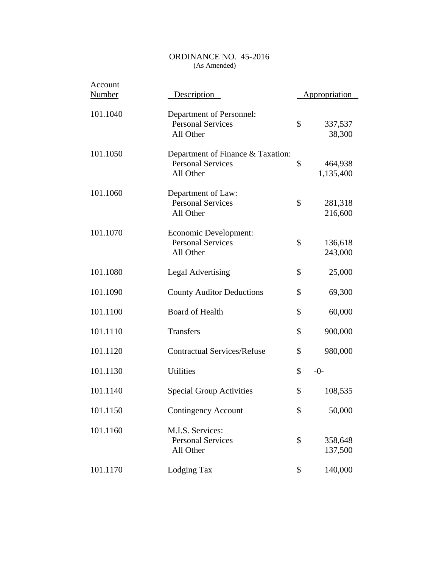| Account<br><b>Number</b> | Description                                                                | <b>Appropriation</b>       |
|--------------------------|----------------------------------------------------------------------------|----------------------------|
| 101.1040                 | Department of Personnel:<br><b>Personal Services</b><br>All Other          | \$<br>337,537<br>38,300    |
| 101.1050                 | Department of Finance & Taxation:<br><b>Personal Services</b><br>All Other | \$<br>464,938<br>1,135,400 |
| 101.1060                 | Department of Law:<br><b>Personal Services</b><br>All Other                | \$<br>281,318<br>216,600   |
| 101.1070                 | Economic Development:<br><b>Personal Services</b><br>All Other             | \$<br>136,618<br>243,000   |
| 101.1080                 | <b>Legal Advertising</b>                                                   | \$<br>25,000               |
| 101.1090                 | <b>County Auditor Deductions</b>                                           | \$<br>69,300               |
| 101.1100                 | <b>Board of Health</b>                                                     | \$<br>60,000               |
| 101.1110                 | <b>Transfers</b>                                                           | \$<br>900,000              |
| 101.1120                 | <b>Contractual Services/Refuse</b>                                         | \$<br>980,000              |
| 101.1130                 | <b>Utilities</b>                                                           | \$<br>$-0-$                |
| 101.1140                 | <b>Special Group Activities</b>                                            | \$<br>108,535              |
| 101.1150                 | <b>Contingency Account</b>                                                 | \$<br>50,000               |
| 101.1160                 | M.I.S. Services:<br><b>Personal Services</b><br>All Other                  | \$<br>358,648<br>137,500   |
| 101.1170                 | Lodging Tax                                                                | \$<br>140,000              |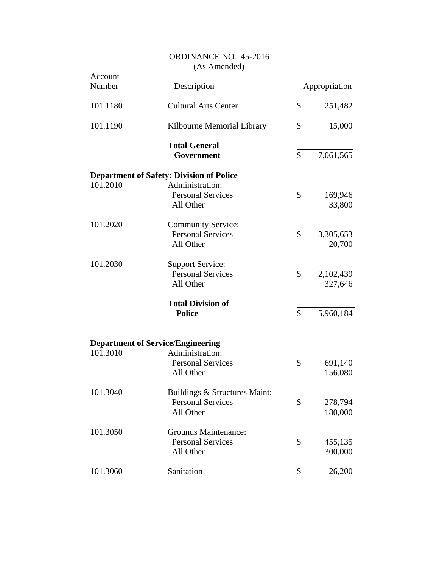| Account<br>Number | Description                                           |              | Appropriation        |
|-------------------|-------------------------------------------------------|--------------|----------------------|
| 101.1180          | <b>Cultural Arts Center</b>                           | \$           | 251,482              |
|                   |                                                       |              |                      |
| 101.1190          | Kilbourne Memorial Library                            | \$           | 15,000               |
|                   | <b>Total General</b><br>Government                    | \$           | 7,061,565            |
|                   | <b>Department of Safety: Division of Police</b>       |              |                      |
| 101.2010          | Administration:<br><b>Personal Services</b>           | \$           | 169,946              |
|                   | All Other                                             |              | 33,800               |
| 101.2020          | <b>Community Service:</b><br><b>Personal Services</b> | \$           | 3,305,653            |
|                   | All Other                                             |              | 20,700               |
| 101.2030          | <b>Support Service:</b>                               |              |                      |
|                   | <b>Personal Services</b><br>All Other                 | \$           | 2,102,439<br>327,646 |
|                   | <b>Total Division of</b><br><b>Police</b>             | $\mathbb{S}$ | 5,960,184            |
|                   | <b>Department of Service/Engineering</b>              |              |                      |
| 101.3010          | Administration:                                       |              |                      |
|                   | <b>Personal Services</b><br>All Other                 | \$           | 691,140<br>156,080   |
| 101.3040          | Buildings & Structures Maint:                         |              |                      |
|                   | <b>Personal Services</b><br>All Other                 | \$           | 278,794<br>180,000   |
| 101.3050          | <b>Grounds Maintenance:</b>                           |              |                      |
|                   | <b>Personal Services</b><br>All Other                 | \$           | 455,135<br>300,000   |
| 101.3060          | Sanitation                                            | \$           | 26,200               |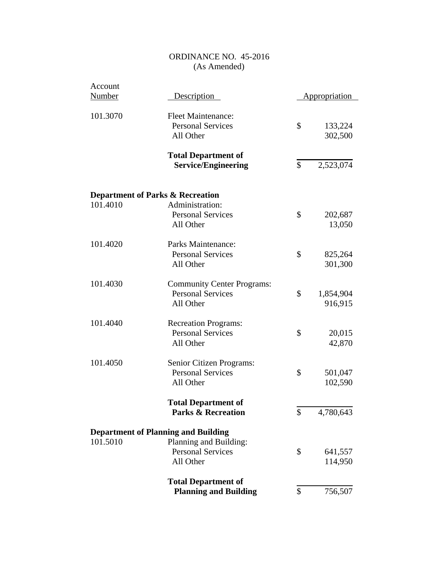| Account       |                                             |               |                      |
|---------------|---------------------------------------------|---------------|----------------------|
| <b>Number</b> | Description                                 |               | <u>Appropriation</u> |
| 101.3070      | <b>Fleet Maintenance:</b>                   |               |                      |
|               | <b>Personal Services</b>                    | \$            | 133,224              |
|               | All Other                                   |               | 302,500              |
|               |                                             |               |                      |
|               | <b>Total Department of</b>                  |               |                      |
|               | <b>Service/Engineering</b>                  | $\mathcal{S}$ | 2,523,074            |
|               |                                             |               |                      |
|               | <b>Department of Parks &amp; Recreation</b> |               |                      |
| 101.4010      | Administration:                             |               |                      |
|               | <b>Personal Services</b>                    | \$            | 202,687              |
|               | All Other                                   |               | 13,050               |
|               |                                             |               |                      |
| 101.4020      | Parks Maintenance:                          |               |                      |
|               | <b>Personal Services</b>                    | \$            | 825,264              |
|               | All Other                                   |               | 301,300              |
| 101.4030      | <b>Community Center Programs:</b>           |               |                      |
|               | <b>Personal Services</b>                    | \$            | 1,854,904            |
|               | All Other                                   |               | 916,915              |
|               |                                             |               |                      |
| 101.4040      | <b>Recreation Programs:</b>                 |               |                      |
|               | <b>Personal Services</b>                    | \$            | 20,015               |
|               | All Other                                   |               | 42,870               |
| 101.4050      | Senior Citizen Programs:                    |               |                      |
|               | <b>Personal Services</b>                    | \$            | 501,047              |
|               | All Other                                   |               | 102,590              |
|               |                                             |               |                      |
|               | <b>Total Department of</b>                  |               |                      |
|               | <b>Parks &amp; Recreation</b>               | \$            | 4,780,643            |
|               |                                             |               |                      |
|               | <b>Department of Planning and Building</b>  |               |                      |
| 101.5010      | Planning and Building:                      |               |                      |
|               | <b>Personal Services</b>                    | \$            | 641,557              |
|               | All Other                                   |               | 114,950              |
|               | <b>Total Department of</b>                  |               |                      |
|               | <b>Planning and Building</b>                | \$            | 756,507              |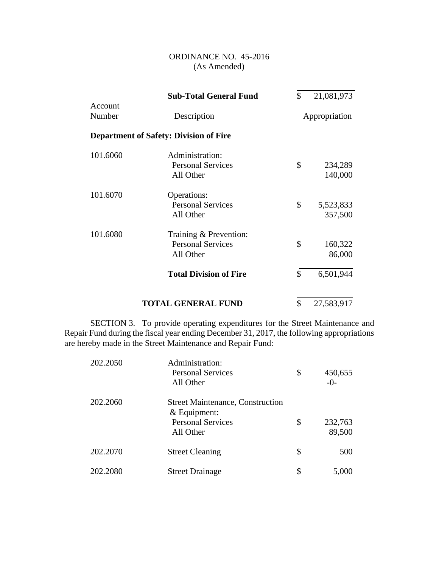|                   | <b>Sub-Total General Fund</b>                                   | \$<br>21,081,973           |  |
|-------------------|-----------------------------------------------------------------|----------------------------|--|
| Account<br>Number | Description                                                     | Appropriation              |  |
|                   | <b>Department of Safety: Division of Fire</b>                   |                            |  |
| 101.6060          | Administration:<br><b>Personal Services</b><br>All Other        | \$<br>234,289<br>140,000   |  |
| 101.6070          | Operations:<br><b>Personal Services</b><br>All Other            | \$<br>5,523,833<br>357,500 |  |
| 101.6080          | Training & Prevention:<br><b>Personal Services</b><br>All Other | \$<br>160,322<br>86,000    |  |
|                   | <b>Total Division of Fire</b>                                   | \$<br>6,501,944            |  |
|                   | <b>TOTAL GENERAL FUND</b>                                       | \$<br>27,583,917           |  |

SECTION 3. To provide operating expenditures for the Street Maintenance and Repair Fund during the fiscal year ending December 31, 2017, the following appropriations are hereby made in the Street Maintenance and Repair Fund:

| 202.2050 | Administration:<br><b>Personal Services</b><br>All Other                                           | \$<br>450,655<br>$-()$  |
|----------|----------------------------------------------------------------------------------------------------|-------------------------|
| 202.2060 | <b>Street Maintenance, Construction</b><br>$&$ Equipment:<br><b>Personal Services</b><br>All Other | \$<br>232,763<br>89,500 |
| 202.2070 | <b>Street Cleaning</b>                                                                             | \$<br>500               |
| 202.2080 | <b>Street Drainage</b>                                                                             | \$<br>5,000             |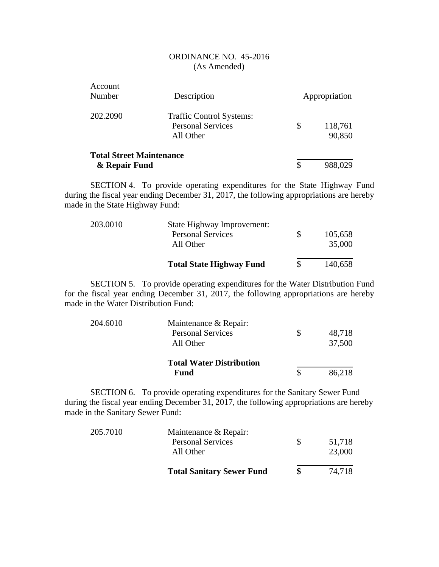| Account<br>Number                                | Description                                                              | Appropriation           |  |
|--------------------------------------------------|--------------------------------------------------------------------------|-------------------------|--|
| 202.2090                                         | <b>Traffic Control Systems:</b><br><b>Personal Services</b><br>All Other | \$<br>118,761<br>90,850 |  |
| <b>Total Street Maintenance</b><br>& Repair Fund |                                                                          | 988,029                 |  |

SECTION 4. To provide operating expenditures for the State Highway Fund during the fiscal year ending December 31, 2017, the following appropriations are hereby made in the State Highway Fund:

|          | <b>Total State Highway Fund</b> | 140,658 |
|----------|---------------------------------|---------|
|          | All Other                       | 35,000  |
|          | <b>Personal Services</b>        | 105,658 |
| 203.0010 | State Highway Improvement:      |         |

SECTION 5. To provide operating expenditures for the Water Distribution Fund for the fiscal year ending December 31, 2017, the following appropriations are hereby made in the Water Distribution Fund:

| 204.6010 | Maintenance & Repair:           |        |
|----------|---------------------------------|--------|
|          | <b>Personal Services</b>        | 48,718 |
|          | All Other                       | 37,500 |
|          | <b>Total Water Distribution</b> |        |
|          | Fund                            | 86,218 |

SECTION 6. To provide operating expenditures for the Sanitary Sewer Fund during the fiscal year ending December 31, 2017, the following appropriations are hereby made in the Sanitary Sewer Fund:

|          | <b>Total Sanitary Sewer Fund</b>      | 74.718           |
|----------|---------------------------------------|------------------|
|          | <b>Personal Services</b><br>All Other | 51,718<br>23,000 |
| 205.7010 | Maintenance & Repair:                 |                  |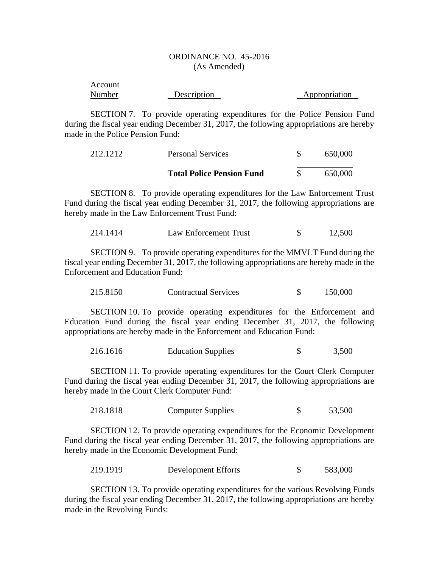| Account |             |               |
|---------|-------------|---------------|
| Number  | Description | Appropriation |

SECTION 7. To provide operating expenditures for the Police Pension Fund during the fiscal year ending December 31, 2017, the following appropriations are hereby made in the Police Pension Fund:

| 212.1212 | <b>Personal Services</b>         | 650,000 |
|----------|----------------------------------|---------|
|          | <b>Total Police Pension Fund</b> | 650,000 |

SECTION 8. To provide operating expenditures for the Law Enforcement Trust Fund during the fiscal year ending December 31, 2017, the following appropriations are hereby made in the Law Enforcement Trust Fund:

| 214.1414 | Law Enforcement Trust |  | 12,500 |
|----------|-----------------------|--|--------|
|----------|-----------------------|--|--------|

SECTION 9. To provide operating expenditures for the MMVLT Fund during the fiscal year ending December 31, 2017, the following appropriations are hereby made in the Enforcement and Education Fund:

| 215.8150 | <b>Contractual Services</b> | 150,000 |
|----------|-----------------------------|---------|
|          |                             |         |

SECTION 10. To provide operating expenditures for the Enforcement and Education Fund during the fiscal year ending December 31, 2017, the following appropriations are hereby made in the Enforcement and Education Fund:

216.1616 Education Supplies \$ 3,500

SECTION 11. To provide operating expenditures for the Court Clerk Computer Fund during the fiscal year ending December 31, 2017, the following appropriations are hereby made in the Court Clerk Computer Fund:

218.1818 Computer Supplies \$ 53,500

SECTION 12. To provide operating expenditures for the Economic Development Fund during the fiscal year ending December 31, 2017, the following appropriations are hereby made in the Economic Development Fund:

219.1919 Development Efforts \$ 583,000

SECTION 13. To provide operating expenditures for the various Revolving Funds during the fiscal year ending December 31, 2017, the following appropriations are hereby made in the Revolving Funds: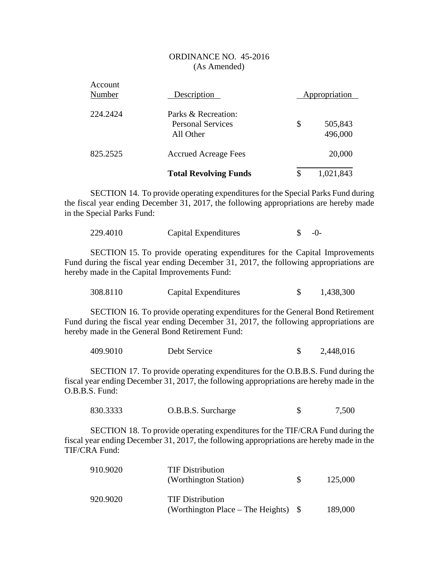| Account<br>Number | Description                                                  | Appropriation            |
|-------------------|--------------------------------------------------------------|--------------------------|
| 224.2424          | Parks & Recreation:<br><b>Personal Services</b><br>All Other | \$<br>505,843<br>496,000 |
| 825.2525          | <b>Accrued Acreage Fees</b>                                  | 20,000                   |
|                   | <b>Total Revolving Funds</b>                                 | \$<br>1,021,843          |

SECTION 14. To provide operating expenditures for the Special Parks Fund during the fiscal year ending December 31, 2017, the following appropriations are hereby made in the Special Parks Fund:

| 229.4010 | Capital Expenditures | $\triangle$ -0- |
|----------|----------------------|-----------------|
|          |                      |                 |

SECTION 15. To provide operating expenditures for the Capital Improvements Fund during the fiscal year ending December 31, 2017, the following appropriations are hereby made in the Capital Improvements Fund:

| 308.8110 | Capital Expenditures |  | 1,438,300 |
|----------|----------------------|--|-----------|
|----------|----------------------|--|-----------|

SECTION 16. To provide operating expenditures for the General Bond Retirement Fund during the fiscal year ending December 31, 2017, the following appropriations are hereby made in the General Bond Retirement Fund:

| 409.9010 | Debt Service |  | 2,448,016 |
|----------|--------------|--|-----------|
|----------|--------------|--|-----------|

SECTION 17. To provide operating expenditures for the O.B.B.S. Fund during the fiscal year ending December 31, 2017, the following appropriations are hereby made in the O.B.B.S. Fund:

| 830.3333 | O.B.B.S. Surcharge | 7,500 |
|----------|--------------------|-------|
|          |                    |       |

SECTION 18. To provide operating expenditures for the TIF/CRA Fund during the fiscal year ending December 31, 2017, the following appropriations are hereby made in the TIF/CRA Fund:

| 910.9020 | <b>TIF Distribution</b><br>(Worthington Station)                 | <b>S</b> | 125,000 |
|----------|------------------------------------------------------------------|----------|---------|
| 920.9020 | <b>TIF Distribution</b><br>(Worthington Place – The Heights) $\$ |          | 189,000 |